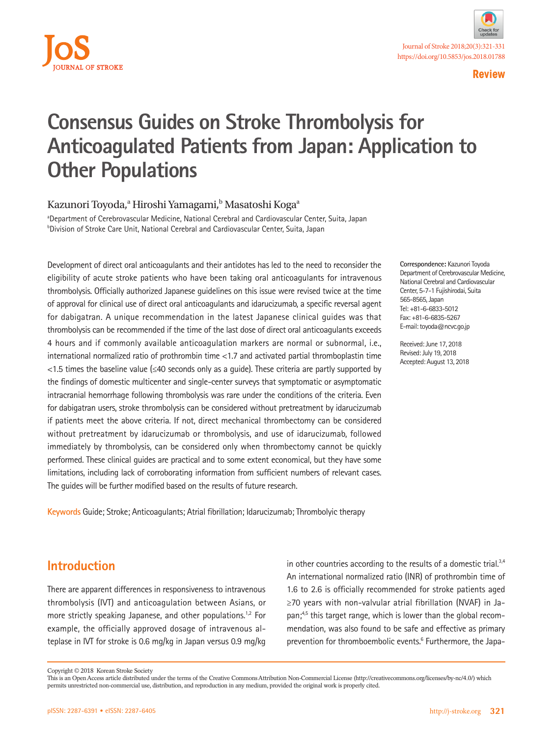



**Review**

# **Consensus Guides on Stroke Thrombolysis for Anticoagulated Patients from Japan: Application to Other Populations**

#### Kazunori Toyoda,<sup>a</sup> Hiroshi Yamagami,<sup>b</sup> Masatoshi Koga<sup>a</sup>

<sup>a</sup>Department of Cerebrovascular Medicine, National Cerebral and Cardiovascular Center, Suita, Japan <sup>b</sup>Division of Stroke Care Unit, National Cerebral and Cardiovascular Center, Suita, Japan

Development of direct oral anticoagulants and their antidotes has led to the need to reconsider the eligibility of acute stroke patients who have been taking oral anticoagulants for intravenous thrombolysis. Officially authorized Japanese guidelines on this issue were revised twice at the time of approval for clinical use of direct oral anticoagulants and idarucizumab, a specific reversal agent for dabigatran. A unique recommendation in the latest Japanese clinical guides was that thrombolysis can be recommended if the time of the last dose of direct oral anticoagulants exceeds 4 hours and if commonly available anticoagulation markers are normal or subnormal, i.e., international normalized ratio of prothrombin time <1.7 and activated partial thromboplastin time <1.5 times the baseline value (≤40 seconds only as a guide). These criteria are partly supported by the findings of domestic multicenter and single-center surveys that symptomatic or asymptomatic intracranial hemorrhage following thrombolysis was rare under the conditions of the criteria. Even for dabigatran users, stroke thrombolysis can be considered without pretreatment by idarucizumab if patients meet the above criteria. If not, direct mechanical thrombectomy can be considered without pretreatment by idarucizumab or thrombolysis, and use of idarucizumab, followed immediately by thrombolysis, can be considered only when thrombectomy cannot be quickly performed. These clinical guides are practical and to some extent economical, but they have some limitations, including lack of corroborating information from sufficient numbers of relevant cases. The guides will be further modified based on the results of future research.

**Keywords** Guide; Stroke; Anticoagulants; Atrial fibrillation; Idarucizumab; Thrombolyic therapy

**Correspondence:** Kazunori Toyoda Department of Cerebrovascular Medicine, National Cerebral and Cardiovascular Center, 5-7-1 Fujishirodai, Suita 565-8565, Japan Tel: +81-6-6833-5012 Fax: +81-6-6835-5267 E-mail: toyoda@ncvc.go.jp

Received: June 17, 2018 Revised: July 19, 2018 Accepted: August 13, 2018

# **Introduction**

There are apparent differences in responsiveness to intravenous thrombolysis (IVT) and anticoagulation between Asians, or more strictly speaking Japanese, and other populations.<sup>1,2</sup> For example, the officially approved dosage of intravenous alteplase in IVT for stroke is 0.6 mg/kg in Japan versus 0.9 mg/kg

in other countries according to the results of a domestic trial.<sup>3,4</sup> An international normalized ratio (INR) of prothrombin time of 1.6 to 2.6 is officially recommended for stroke patients aged ≥70 years with non-valvular atrial fibrillation (NVAF) in Japan;<sup>4,5</sup> this target range, which is lower than the global recommendation, was also found to be safe and effective as primary prevention for thromboembolic events.<sup>6</sup> Furthermore, the Japa-

Copyright © 2018 Korean Stroke Society

This is an Open Access article distributed under the terms of the Creative Commons Attribution Non-Commercial License (http://creativecommons.org/licenses/by-nc/4.0/) which permits unrestricted non-commercial use, distribution, and reproduction in any medium, provided the original work is properly cited.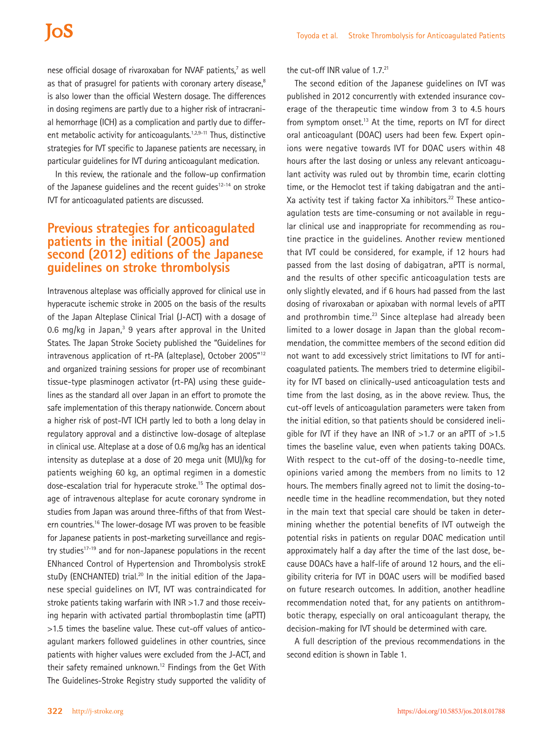# **IoS**

nese official dosage of rivaroxaban for NVAF patients,<sup>7</sup> as well as that of prasugrel for patients with coronary artery disease,<sup>8</sup> is also lower than the official Western dosage. The differences in dosing regimens are partly due to a higher risk of intracranial hemorrhage (ICH) as a complication and partly due to different metabolic activity for anticoagulants.<sup>1,2,9-11</sup> Thus, distinctive strategies for IVT specific to Japanese patients are necessary, in particular guidelines for IVT during anticoagulant medication.

In this review, the rationale and the follow-up confirmation of the Japanese guidelines and the recent guides $12-14$  on stroke IVT for anticoagulated patients are discussed.

## **Previous strategies for anticoagulated patients in the initial (2005) and second (2012) editions of the Japanese guidelines on stroke thrombolysis**

Intravenous alteplase was officially approved for clinical use in hyperacute ischemic stroke in 2005 on the basis of the results of the Japan Alteplase Clinical Trial (J-ACT) with a dosage of 0.6 mg/kg in Japan, $3$  9 years after approval in the United States. The Japan Stroke Society published the "Guidelines for intravenous application of rt-PA (alteplase), October 2005"12 and organized training sessions for proper use of recombinant tissue-type plasminogen activator (rt-PA) using these guidelines as the standard all over Japan in an effort to promote the safe implementation of this therapy nationwide. Concern about a higher risk of post-IVT ICH partly led to both a long delay in regulatory approval and a distinctive low-dosage of alteplase in clinical use. Alteplase at a dose of 0.6 mg/kg has an identical intensity as duteplase at a dose of 20 mega unit (MU)/kg for patients weighing 60 kg, an optimal regimen in a domestic dose-escalation trial for hyperacute stroke.<sup>15</sup> The optimal dosage of intravenous alteplase for acute coronary syndrome in studies from Japan was around three-fifths of that from Western countries.16 The lower-dosage IVT was proven to be feasible for Japanese patients in post-marketing surveillance and registry studies $17-19$  and for non-Japanese populations in the recent ENhanced Control of Hypertension and Thrombolysis strokE stuDy (ENCHANTED) trial.<sup>20</sup> In the initial edition of the Japanese special guidelines on IVT, IVT was contraindicated for stroke patients taking warfarin with INR >1.7 and those receiving heparin with activated partial thromboplastin time (aPTT) >1.5 times the baseline value. These cut-off values of anticoagulant markers followed guidelines in other countries, since patients with higher values were excluded from the J-ACT, and their safety remained unknown.<sup>12</sup> Findings from the Get With The Guidelines-Stroke Registry study supported the validity of the cut-off INR value of  $1.7.^{21}$ 

The second edition of the Japanese guidelines on IVT was published in 2012 concurrently with extended insurance coverage of the therapeutic time window from 3 to 4.5 hours from symptom onset.<sup>13</sup> At the time, reports on IVT for direct oral anticoagulant (DOAC) users had been few. Expert opinions were negative towards IVT for DOAC users within 48 hours after the last dosing or unless any relevant anticoagulant activity was ruled out by thrombin time, ecarin clotting time, or the Hemoclot test if taking dabigatran and the anti-Xa activity test if taking factor Xa inhibitors.<sup>22</sup> These anticoagulation tests are time-consuming or not available in regular clinical use and inappropriate for recommending as routine practice in the guidelines. Another review mentioned that IVT could be considered, for example, if 12 hours had passed from the last dosing of dabigatran, aPTT is normal, and the results of other specific anticoagulation tests are only slightly elevated, and if 6 hours had passed from the last dosing of rivaroxaban or apixaban with normal levels of aPTT and prothrombin time.<sup>23</sup> Since alteplase had already been limited to a lower dosage in Japan than the global recommendation, the committee members of the second edition did not want to add excessively strict limitations to IVT for anticoagulated patients. The members tried to determine eligibility for IVT based on clinically-used anticoagulation tests and time from the last dosing, as in the above review. Thus, the cut-off levels of anticoagulation parameters were taken from the initial edition, so that patients should be considered ineligible for IVT if they have an INR of  $>1.7$  or an aPTT of  $>1.5$ times the baseline value, even when patients taking DOACs. With respect to the cut-off of the dosing-to-needle time, opinions varied among the members from no limits to 12 hours. The members finally agreed not to limit the dosing-toneedle time in the headline recommendation, but they noted in the main text that special care should be taken in determining whether the potential benefits of IVT outweigh the potential risks in patients on regular DOAC medication until approximately half a day after the time of the last dose, because DOACs have a half-life of around 12 hours, and the eligibility criteria for IVT in DOAC users will be modified based on future research outcomes. In addition, another headline recommendation noted that, for any patients on antithrombotic therapy, especially on oral anticoagulant therapy, the decision-making for IVT should be determined with care.

A full description of the previous recommendations in the second edition is shown in Table 1.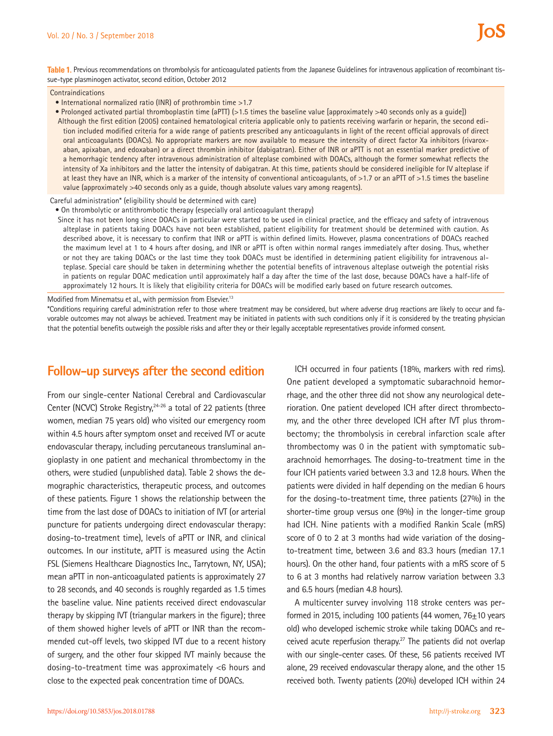**Table 1.** Previous recommendations on thrombolysis for anticoagulated patients from the Japanese Guidelines for intravenous application of recombinant tissue-type plasminogen activator, second edition, October 2012

#### **Contraindications**

- International normalized ratio (INR) of prothrombin time >1.7
- Prolonged activated partial thromboplastin time (aPTT) (>1.5 times the baseline value [approximately >40 seconds only as a guide])

Although the first edition (2005) contained hematological criteria applicable only to patients receiving warfarin or heparin, the second edition included modified criteria for a wide range of patients prescribed any anticoagulants in light of the recent official approvals of direct oral anticoagulants (DOACs). No appropriate markers are now available to measure the intensity of direct factor Xa inhibitors (rivaroxaban, apixaban, and edoxaban) or a direct thrombin inhibitor (dabigatran). Either of INR or aPTT is not an essential marker predictive of a hemorrhagic tendency after intravenous administration of alteplase combined with DOACs, although the former somewhat reflects the intensity of Xa inhibitors and the latter the intensity of dabigatran. At this time, patients should be considered ineligible for IV alteplase if at least they have an INR, which is a marker of the intensity of conventional anticoagulants, of >1.7 or an aPTT of >1.5 times the baseline value (approximately >40 seconds only as a guide, though absolute values vary among reagents).

#### Careful administration\* (eligibility should be determined with care)

• On thrombolytic or antithrombotic therapy (especially oral anticoagulant therapy)

Since it has not been long since DOACs in particular were started to be used in clinical practice, and the efficacy and safety of intravenous alteplase in patients taking DOACs have not been established, patient eligibility for treatment should be determined with caution. As described above, it is necessary to confirm that INR or aPTT is within defined limits. However, plasma concentrations of DOACs reached the maximum level at 1 to 4 hours after dosing, and INR or aPTT is often within normal ranges immediately after dosing. Thus, whether or not they are taking DOACs or the last time they took DOACs must be identified in determining patient eligibility for intravenous alteplase. Special care should be taken in determining whether the potential benefits of intravenous alteplase outweigh the potential risks in patients on regular DOAC medication until approximately half a day after the time of the last dose, because DOACs have a half-life of approximately 12 hours. It is likely that eligibility criteria for DOACs will be modified early based on future research outcomes.

Modified from Minematsu et al., with permission from Elsevier.<sup>13</sup>

\*Conditions requiring careful administration refer to those where treatment may be considered, but where adverse drug reactions are likely to occur and favorable outcomes may not always be achieved. Treatment may be initiated in patients with such conditions only if it is considered by the treating physician that the potential benefits outweigh the possible risks and after they or their legally acceptable representatives provide informed consent.

# **Follow-up surveys after the second edition**

From our single-center National Cerebral and Cardiovascular Center (NCVC) Stroke Registry, $24-26$  a total of 22 patients (three women, median 75 years old) who visited our emergency room within 4.5 hours after symptom onset and received IVT or acute endovascular therapy, including percutaneous transluminal angioplasty in one patient and mechanical thrombectomy in the others, were studied (unpublished data). Table 2 shows the demographic characteristics, therapeutic process, and outcomes of these patients. Figure 1 shows the relationship between the time from the last dose of DOACs to initiation of IVT (or arterial puncture for patients undergoing direct endovascular therapy: dosing-to-treatment time), levels of aPTT or INR, and clinical outcomes. In our institute, aPTT is measured using the Actin FSL (Siemens Healthcare Diagnostics Inc., Tarrytown, NY, USA); mean aPTT in non-anticoagulated patients is approximately 27 to 28 seconds, and 40 seconds is roughly regarded as 1.5 times the baseline value. Nine patients received direct endovascular therapy by skipping IVT (triangular markers in the figure); three of them showed higher levels of aPTT or INR than the recommended cut-off levels, two skipped IVT due to a recent history of surgery, and the other four skipped IVT mainly because the dosing-to-treatment time was approximately <6 hours and close to the expected peak concentration time of DOACs.

ICH occurred in four patients (18%, markers with red rims). One patient developed a symptomatic subarachnoid hemorrhage, and the other three did not show any neurological deterioration. One patient developed ICH after direct thrombectomy, and the other three developed ICH after IVT plus thrombectomy; the thrombolysis in cerebral infarction scale after thrombectomy was 0 in the patient with symptomatic subarachnoid hemorrhages. The dosing-to-treatment time in the four ICH patients varied between 3.3 and 12.8 hours. When the patients were divided in half depending on the median 6 hours for the dosing-to-treatment time, three patients (27%) in the shorter-time group versus one (9%) in the longer-time group had ICH. Nine patients with a modified Rankin Scale (mRS) score of 0 to 2 at 3 months had wide variation of the dosingto-treatment time, between 3.6 and 83.3 hours (median 17.1 hours). On the other hand, four patients with a mRS score of 5 to 6 at 3 months had relatively narrow variation between 3.3 and 6.5 hours (median 4.8 hours).

A multicenter survey involving 118 stroke centers was performed in 2015, including 100 patients (44 women,  $76+10$  years old) who developed ischemic stroke while taking DOACs and received acute reperfusion therapy.<sup>27</sup> The patients did not overlap with our single-center cases. Of these, 56 patients received IVT alone, 29 received endovascular therapy alone, and the other 15 received both. Twenty patients (20%) developed ICH within 24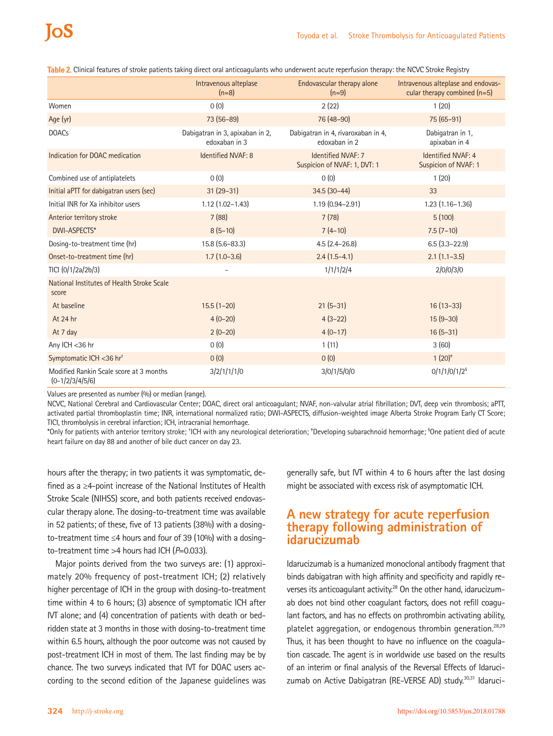|                                                              | Intravenous alteplase<br>$(n=8)$                 | Endovascular therapy alone<br>$(n=9)$               | Intravenous alteplase and endovas-<br>cular therapy combined $(n=5)$ |
|--------------------------------------------------------------|--------------------------------------------------|-----------------------------------------------------|----------------------------------------------------------------------|
| Women                                                        | 0(0)                                             | 2(22)                                               | 1(20)                                                                |
| Age (yr)                                                     | 73 (56-89)                                       | 76 (48-90)                                          | 75 (65-91)                                                           |
| <b>DOACs</b>                                                 | Dabigatran in 3, apixaban in 2,<br>edoxaban in 3 | Dabigatran in 4, rivaroxaban in 4,<br>edoxaban in 2 | Dabigatran in 1,<br>apixaban in 4                                    |
| Indication for DOAC medication                               | Identified NVAF: 8                               | Identified NVAF: 7<br>Suspicion of NVAF: 1, DVT: 1  | Identified NVAF: 4<br>Suspicion of NVAF: 1                           |
| Combined use of antiplatelets                                | 0(0)                                             | 0(0)                                                | 1(20)                                                                |
| Initial aPTT for dabigatran users (sec)                      | $31(29-31)$                                      | $34.5(30-44)$                                       | 33                                                                   |
| Initial INR for Xa inhibitor users                           | $1.12(1.02 - 1.43)$                              | 1.19 (0.94-2.91)                                    | $1.23(1.16-1.36)$                                                    |
| Anterior territory stroke                                    | 7(88)                                            | 7(78)                                               | 5(100)                                                               |
| <b>DWI-ASPECTS*</b>                                          | $8(5-10)$                                        | $7(4-10)$                                           | $7.5(7-10)$                                                          |
| Dosing-to-treatment time (hr)                                | 15.8 (5.6-83.3)                                  | $4.5(2.4 - 26.8)$                                   | $6.5(3.3-22.9)$                                                      |
| Onset-to-treatment time (hr)                                 | $1.7(1.0-3.6)$                                   | $2.4(1.5-4.1)$                                      | $2.1(1.1-3.5)$                                                       |
| TICI (0/1/2a/2b/3)                                           |                                                  | 1/1/1/2/4                                           | 2/0/0/3/0                                                            |
| National Institutes of Health Stroke Scale<br>score          |                                                  |                                                     |                                                                      |
| At baseline                                                  | $15.5(1-20)$                                     | $21(5-31)$                                          | $16(13-33)$                                                          |
| At 24 hr                                                     | $4(0-20)$                                        | $4(3-22)$                                           | $15(9-30)$                                                           |
| At 7 day                                                     | $2(0-20)$                                        | $4(0-17)$                                           | $16(5-31)$                                                           |
| Any ICH <36 hr                                               | 0(0)                                             | 1(11)                                               | 3(60)                                                                |
| Symptomatic ICH <36 hr <sup>+</sup>                          | 0(0)                                             | 0(0)                                                | $1(20)^{*}$                                                          |
| Modified Rankin Scale score at 3 months<br>$(0-1/2/3/4/5/6)$ | 3/2/1/1/1/0                                      | 3/0/1/5/0/0                                         | $0/1/1/0/1/2$ <sup>§</sup>                                           |

**Table 2.** Clinical features of stroke patients taking direct oral anticoagulants who underwent acute reperfusion therapy: the NCVC Stroke Registry

Values are presented as number (%) or median (range).

NCVC, National Cerebral and Cardiovascular Center; DOAC, direct oral anticoagulant; NVAF, non-valvular atrial fibrillation; DVT, deep vein thrombosis; aPTT, activated partial thromboplastin time; INR, international normalized ratio; DWI-ASPECTS, diffusion-weighted image Alberta Stroke Program Early CT Score; TICI, thrombolysis in cerebral infarction; ICH, intracranial hemorrhage.

\*Only for patients with anterior territory stroke; † ICH with any neurological deterioration; ‡ Developing subarachnoid hemorrhage; § One patient died of acute heart failure on day 88 and another of bile duct cancer on day 23.

hours after the therapy; in two patients it was symptomatic, defined as a ≥4-point increase of the National Institutes of Health Stroke Scale (NIHSS) score, and both patients received endovascular therapy alone. The dosing-to-treatment time was available in 52 patients; of these, five of 13 patients (38%) with a dosingto-treatment time ≤4 hours and four of 39 (10%) with a dosingto-treatment time >4 hours had ICH (*P*=0.033).

Major points derived from the two surveys are: (1) approximately 20% frequency of post-treatment ICH; (2) relatively higher percentage of ICH in the group with dosing-to-treatment time within 4 to 6 hours; (3) absence of symptomatic ICH after IVT alone; and (4) concentration of patients with death or bedridden state at 3 months in those with dosing-to-treatment time within 6.5 hours, although the poor outcome was not caused by post-treatment ICH in most of them. The last finding may be by chance. The two surveys indicated that IVT for DOAC users according to the second edition of the Japanese guidelines was generally safe, but IVT within 4 to 6 hours after the last dosing might be associated with excess risk of asymptomatic ICH.

### **A new strategy for acute reperfusion therapy following administration of idarucizumab**

Idarucizumab is a humanized monoclonal antibody fragment that binds dabigatran with high affinity and specificity and rapidly reverses its anticoagulant activity.<sup>28</sup> On the other hand, idarucizumab does not bind other coagulant factors, does not refill coagulant factors, and has no effects on prothrombin activating ability, platelet aggregation, or endogenous thrombin generation.<sup>28,29</sup> Thus, it has been thought to have no influence on the coagulation cascade. The agent is in worldwide use based on the results of an interim or final analysis of the Reversal Effects of Idarucizumab on Active Dabigatran (RE-VERSE AD) study.<sup>30,31</sup> Idaruci-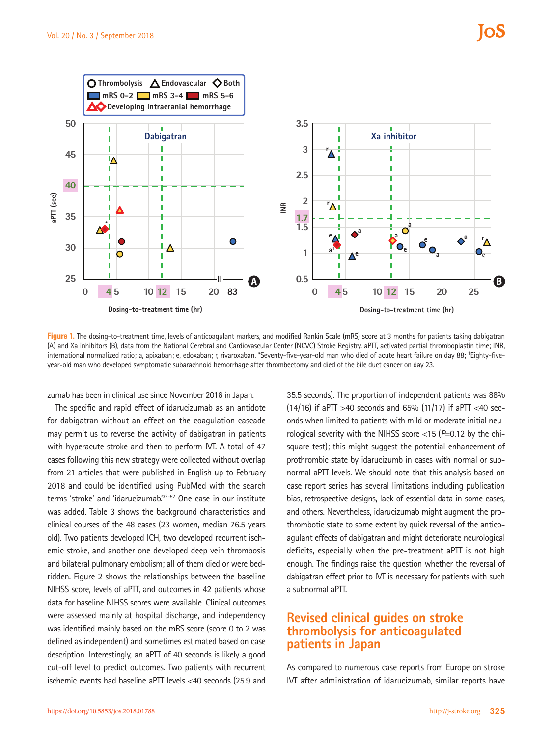

**Figure 1.** The dosing-to-treatment time, levels of anticoagulant markers, and modified Rankin Scale (mRS) score at 3 months for patients taking dabigatran (A) and Xa inhibitors (B), data from the National Cerebral and Cardiovascular Center (NCVC) Stroke Registry. aPTT, activated partial thromboplastin time; INR, international normalized ratio; a, apixaban; e, edoxaban; r, rivaroxaban. \*Seventy-five-year-old man who died of acute heart failure on day 88; † Eighty-fiveyear-old man who developed symptomatic subarachnoid hemorrhage after thrombectomy and died of the bile duct cancer on day 23.

zumab has been in clinical use since November 2016 in Japan.

The specific and rapid effect of idarucizumab as an antidote for dabigatran without an effect on the coagulation cascade may permit us to reverse the activity of dabigatran in patients with hyperacute stroke and then to perform IVT. A total of 47 cases following this new strategy were collected without overlap from 21 articles that were published in English up to February 2018 and could be identified using PubMed with the search terms 'stroke' and 'idarucizumab.<sup>'32-52</sup> One case in our institute was added. Table 3 shows the background characteristics and clinical courses of the 48 cases (23 women, median 76.5 years old). Two patients developed ICH, two developed recurrent ischemic stroke, and another one developed deep vein thrombosis and bilateral pulmonary embolism; all of them died or were bedridden. Figure 2 shows the relationships between the baseline NIHSS score, levels of aPTT, and outcomes in 42 patients whose data for baseline NIHSS scores were available. Clinical outcomes were assessed mainly at hospital discharge, and independency was identified mainly based on the mRS score (score 0 to 2 was defined as independent) and sometimes estimated based on case description. Interestingly, an aPTT of 40 seconds is likely a good cut-off level to predict outcomes. Two patients with recurrent ischemic events had baseline aPTT levels <40 seconds (25.9 and

35.5 seconds). The proportion of independent patients was 88% (14/16) if aPTT >40 seconds and 65% (11/17) if aPTT <40 seconds when limited to patients with mild or moderate initial neurological severity with the NIHSS score <15 (*P*=0.12 by the chisquare test); this might suggest the potential enhancement of prothrombic state by idarucizumb in cases with normal or subnormal aPTT levels. We should note that this analysis based on case report series has several limitations including publication bias, retrospective designs, lack of essential data in some cases, and others. Nevertheless, idarucizumab might augment the prothrombotic state to some extent by quick reversal of the anticoagulant effects of dabigatran and might deteriorate neurological deficits, especially when the pre-treatment aPTT is not high enough. The findings raise the question whether the reversal of dabigatran effect prior to IVT is necessary for patients with such a subnormal aPTT.

### **Revised clinical guides on stroke thrombolysis for anticoagulated patients in Japan**

As compared to numerous case reports from Europe on stroke IVT after administration of idarucizumab, similar reports have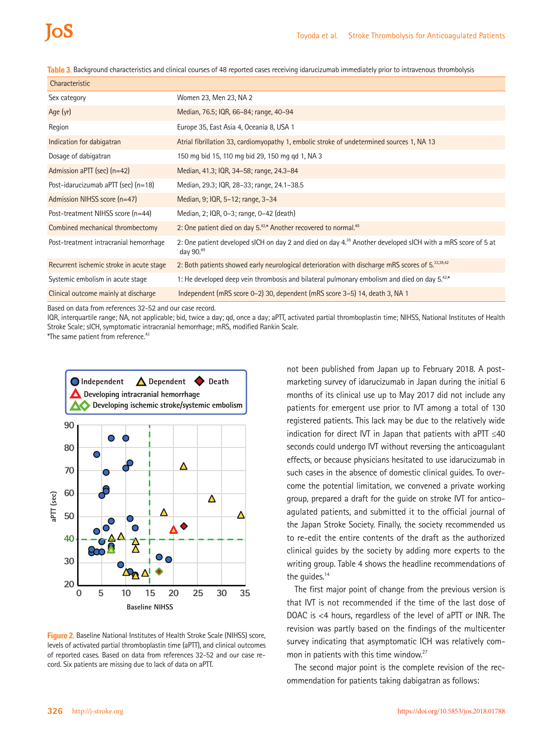**Table 3.** Background characteristics and clinical courses of 48 reported cases receiving idarucizumab immediately prior to intravenous thrombolysis

| Characteristic                           |                                                                                                                                        |
|------------------------------------------|----------------------------------------------------------------------------------------------------------------------------------------|
| Sex category                             | Women 23, Men 23, NA 2                                                                                                                 |
| Age (yr)                                 | Median, 76.5; IQR, 66-84; range, 40-94                                                                                                 |
| Region                                   | Europe 35, East Asia 4, Oceania 8, USA 1                                                                                               |
| Indication for dabigatran                | Atrial fibrillation 33, cardiomyopathy 1, embolic stroke of undetermined sources 1, NA 13                                              |
| Dosage of dabigatran                     | 150 mg bid 15, 110 mg bid 29, 150 mg gd 1, NA 3                                                                                        |
| Admission aPTT (sec) (n=42)              | Median, 41.3; IQR, 34-58; range, 24.3-84                                                                                               |
| Post-idarucizumab aPTT (sec) (n=18)      | Median, 29.3; IQR, 28-33; range, 24.1-38.5                                                                                             |
| Admission NIHSS score (n=47)             | Median, 9; IQR, 5-12; range, 3-34                                                                                                      |
| Post-treatment NIHSS score (n=44)        | Median, 2; IQR, 0-3; range, 0-42 (death)                                                                                               |
| Combined mechanical thrombectomy         | 2: One patient died on day $5^{42*}$ Another recovered to normal. <sup>49</sup>                                                        |
| Post-treatment intracranial hemorrhage   | 2: One patient developed sICH on day 2 and died on day 4. <sup>38</sup> Another developed sICH with a mRS score of 5 at<br>day $90.49$ |
| Recurrent ischemic stroke in acute stage | 2: Both patients showed early neurological deterioration with discharge mRS scores of 5.33,38,42                                       |
| Systemic embolism in acute stage         | 1: He developed deep vein thrombosis and bilateral pulmonary embolism and died on day 5.42,*                                           |
| Clinical outcome mainly at discharge     | Independent (mRS score 0-2) 30, dependent (mRS score 3-5) 14, death 3, NA 1                                                            |

Based on data from references 32-52 and our case record.

IQR, interquartile range; NA, not applicable; bid, twice a day; qd, once a day; aPTT, activated partial thromboplastin time; NIHSS, National Institutes of Health Stroke Scale; sICH, symptomatic intracranial hemorrhage; mRS, modified Rankin Scale.

\*The same patient from reference.43



**Figure 2.** Baseline National Institutes of Health Stroke Scale (NIHSS) score, levels of activated partial thromboplastin time (aPTT), and clinical outcomes of reported cases. Based on data from references 32-52 and our case record. Six patients are missing due to lack of data on aPTT.

not been published from Japan up to February 2018. A postmarketing survey of idarucizumab in Japan during the initial 6 months of its clinical use up to May 2017 did not include any patients for emergent use prior to IVT among a total of 130 registered patients. This lack may be due to the relatively wide indication for direct IVT in Japan that patients with aPTT ≤40 seconds could undergo IVT without reversing the anticoagulant effects, or because physicians hesitated to use idarucizumab in such cases in the absence of domestic clinical guides. To overcome the potential limitation, we convened a private working group, prepared a draft for the guide on stroke IVT for anticoagulated patients, and submitted it to the official journal of the Japan Stroke Society. Finally, the society recommended us to re-edit the entire contents of the draft as the authorized clinical guides by the society by adding more experts to the writing group. Table 4 shows the headline recommendations of the quides.<sup>14</sup>

The first major point of change from the previous version is that IVT is not recommended if the time of the last dose of DOAC is <4 hours, regardless of the level of aPTT or INR. The revision was partly based on the findings of the multicenter survey indicating that asymptomatic ICH was relatively common in patients with this time window.<sup>27</sup>

The second major point is the complete revision of the recommendation for patients taking dabigatran as follows: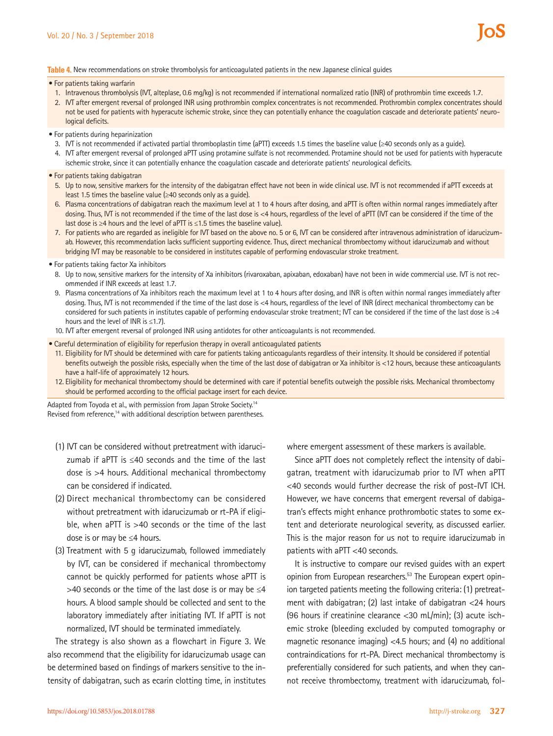#### **Table 4.** New recommendations on stroke thrombolysis for anticoagulated patients in the new Japanese clinical guides

- For patients taking warfarin
	- 1. Intravenous thrombolysis (IVT, alteplase, 0.6 mg/kg) is not recommended if international normalized ratio (INR) of prothrombin time exceeds 1.7.
- 2. IVT after emergent reversal of prolonged INR using prothrombin complex concentrates is not recommended. Prothrombin complex concentrates should not be used for patients with hyperacute ischemic stroke, since they can potentially enhance the coagulation cascade and deteriorate patients' neurological deficits.
- For patients during heparinization
- 3. IVT is not recommended if activated partial thromboplastin time (aPTT) exceeds 1.5 times the baseline value (≥40 seconds only as a quide).
- 4. IVT after emergent reversal of prolonged aPTT using protamine sulfate is not recommended. Protamine should not be used for patients with hyperacute ischemic stroke, since it can potentially enhance the coagulation cascade and deteriorate patients' neurological deficits.
- For patients taking dabigatran
	- 5. Up to now, sensitive markers for the intensity of the dabigatran effect have not been in wide clinical use. IVT is not recommended if aPTT exceeds at least 1.5 times the baseline value (≥40 seconds only as a guide).
	- 6. Plasma concentrations of dabigatran reach the maximum level at 1 to 4 hours after dosing, and aPTT is often within normal ranges immediately after dosing. Thus, IVT is not recommended if the time of the last dose is <4 hours, regardless of the level of aPTT (IVT can be considered if the time of the last dose is ≥4 hours and the level of aPTT is ≤1.5 times the baseline value).
	- 7. For patients who are regarded as ineligible for IVT based on the above no. 5 or 6, IVT can be considered after intravenous administration of idarucizumab. However, this recommendation lacks sufficient supporting evidence. Thus, direct mechanical thrombectomy without idarucizumab and without bridging IVT may be reasonable to be considered in institutes capable of performing endovascular stroke treatment.
- For patients taking factor Xa inhibitors
	- 8. Up to now, sensitive markers for the intensity of Xa inhibitors (rivaroxaban, apixaban, edoxaban) have not been in wide commercial use. IVT is not recommended if INR exceeds at least 1.7.
	- 9. Plasma concentrations of Xa inhibitors reach the maximum level at 1 to 4 hours after dosing, and INR is often within normal ranges immediately after dosing. Thus, IVT is not recommended if the time of the last dose is <4 hours, regardless of the level of INR (direct mechanical thrombectomy can be considered for such patients in institutes capable of performing endovascular stroke treatment; IVT can be considered if the time of the last dose is ≥4 hours and the level of INR is ≤1.7).
	- 10. IVT after emergent reversal of prolonged INR using antidotes for other anticoagulants is not recommended.
- Careful determination of eligibility for reperfusion therapy in overall anticoagulated patients
	- 11. Eligibility for IVT should be determined with care for patients taking anticoagulants regardless of their intensity. It should be considered if potential benefits outweigh the possible risks, especially when the time of the last dose of dabigatran or Xa inhibitor is <12 hours, because these anticoagulants have a half-life of approximately 12 hours.
- 12. Eligibility for mechanical thrombectomy should be determined with care if potential benefits outweigh the possible risks. Mechanical thrombectomy should be performed according to the official package insert for each device.

Adapted from Toyoda et al., with permission from Japan Stroke Society.<sup>14</sup> Revised from reference,<sup>14</sup> with additional description between parentheses.

- (1) IVT can be considered without pretreatment with idarucizumab if aPTT is ≤40 seconds and the time of the last dose is >4 hours. Additional mechanical thrombectomy can be considered if indicated.
- (2) Direct mechanical thrombectomy can be considered without pretreatment with idarucizumab or rt-PA if eligible, when aPTT is >40 seconds or the time of the last dose is or may be ≤4 hours.
- (3) Treatment with 5 g idarucizumab, followed immediately by IVT, can be considered if mechanical thrombectomy cannot be quickly performed for patients whose aPTT is >40 seconds or the time of the last dose is or may be  $\leq$ 4 hours. A blood sample should be collected and sent to the laboratory immediately after initiating IVT. If aPTT is not normalized, IVT should be terminated immediately.

The strategy is also shown as a flowchart in Figure 3. We also recommend that the eligibility for idarucizumab usage can be determined based on findings of markers sensitive to the intensity of dabigatran, such as ecarin clotting time, in institutes where emergent assessment of these markers is available.

Since aPTT does not completely reflect the intensity of dabigatran, treatment with idarucizumab prior to IVT when aPTT <40 seconds would further decrease the risk of post-IVT ICH. However, we have concerns that emergent reversal of dabigatran's effects might enhance prothrombotic states to some extent and deteriorate neurological severity, as discussed earlier. This is the major reason for us not to require idarucizumab in patients with aPTT <40 seconds.

It is instructive to compare our revised guides with an expert opinion from European researchers.<sup>53</sup> The European expert opinion targeted patients meeting the following criteria: (1) pretreatment with dabigatran; (2) last intake of dabigatran <24 hours (96 hours if creatinine clearance <30 mL/min); (3) acute ischemic stroke (bleeding excluded by computed tomography or magnetic resonance imaging) <4.5 hours; and (4) no additional contraindications for rt-PA. Direct mechanical thrombectomy is preferentially considered for such patients, and when they cannot receive thrombectomy, treatment with idarucizumab, fol-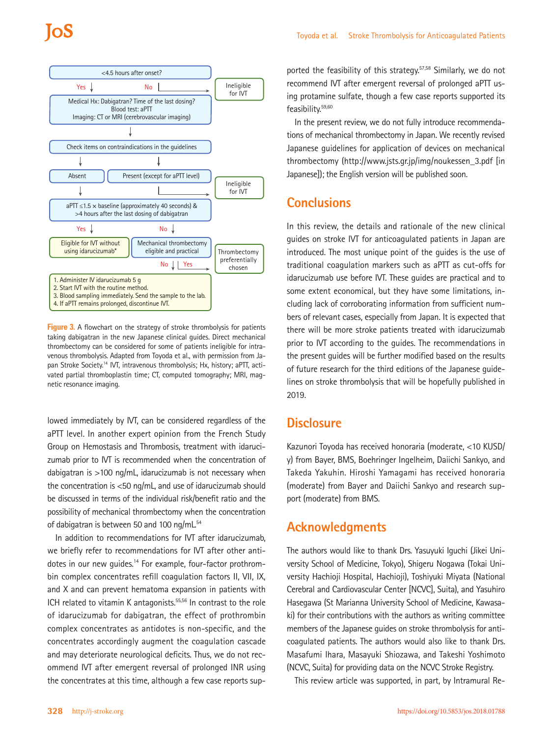

**Figure 3.** A flowchart on the strategy of stroke thrombolysis for patients taking dabigatran in the new Japanese clinical guides. Direct mechanical thrombectomy can be considered for some of patients ineligible for intravenous thrombolysis. Adapted from Toyoda et al., with permission from Japan Stroke Society.<sup>14</sup> IVT, intravenous thrombolysis; Hx, history; aPTT, activated partial thromboplastin time; CT, computed tomography; MRI, magnetic resonance imaging.

lowed immediately by IVT, can be considered regardless of the aPTT level. In another expert opinion from the French Study Group on Hemostasis and Thrombosis, treatment with idarucizumab prior to IVT is recommended when the concentration of dabigatran is >100 ng/mL, idarucizumab is not necessary when the concentration is <50 ng/mL, and use of idarucizumab should be discussed in terms of the individual risk/benefit ratio and the possibility of mechanical thrombectomy when the concentration of dabigatran is between 50 and 100 ng/mL<sup>54</sup>

In addition to recommendations for IVT after idarucizumab, we briefly refer to recommendations for IVT after other antidotes in our new quides.<sup>14</sup> For example, four-factor prothrombin complex concentrates refill coagulation factors II, VII, IX, and X and can prevent hematoma expansion in patients with ICH related to vitamin K antagonists.<sup>55,56</sup> In contrast to the role of idarucizumab for dabigatran, the effect of prothrombin complex concentrates as antidotes is non-specific, and the concentrates accordingly augment the coagulation cascade and may deteriorate neurological deficits. Thus, we do not recommend IVT after emergent reversal of prolonged INR using the concentrates at this time, although a few case reports sup-

ported the feasibility of this strategy.<sup>57,58</sup> Similarly, we do not recommend IVT after emergent reversal of prolonged aPTT using protamine sulfate, though a few case reports supported its feasibility.59,60

In the present review, we do not fully introduce recommendations of mechanical thrombectomy in Japan. We recently revised Japanese guidelines for application of devices on mechanical thrombectomy (http://www.jsts.gr.jp/img/noukessen\_3.pdf [in Japanese]); the English version will be published soon.

## **Conclusions**

In this review, the details and rationale of the new clinical guides on stroke IVT for anticoagulated patients in Japan are introduced. The most unique point of the guides is the use of traditional coagulation markers such as aPTT as cut-offs for idarucizumab use before IVT. These guides are practical and to some extent economical, but they have some limitations, including lack of corroborating information from sufficient numbers of relevant cases, especially from Japan. It is expected that there will be more stroke patients treated with idarucizumab prior to IVT according to the guides. The recommendations in the present guides will be further modified based on the results of future research for the third editions of the Japanese guidelines on stroke thrombolysis that will be hopefully published in 2019.

### **Disclosure**

Kazunori Toyoda has received honoraria (moderate, <10 KUSD/ y) from Bayer, BMS, Boehringer Ingelheim, Daiichi Sankyo, and Takeda Yakuhin. Hiroshi Yamagami has received honoraria (moderate) from Bayer and Daiichi Sankyo and research support (moderate) from BMS.

# **Acknowledgments**

The authors would like to thank Drs. Yasuyuki Iguchi (Jikei University School of Medicine, Tokyo), Shigeru Nogawa (Tokai University Hachioji Hospital, Hachioji), Toshiyuki Miyata (National Cerebral and Cardiovascular Center [NCVC], Suita), and Yasuhiro Hasegawa (St Marianna University School of Medicine, Kawasaki) for their contributions with the authors as writing committee members of the Japanese guides on stroke thrombolysis for anticoagulated patients. The authors would also like to thank Drs. Masafumi Ihara, Masayuki Shiozawa, and Takeshi Yoshimoto (NCVC, Suita) for providing data on the NCVC Stroke Registry.

This review article was supported, in part, by Intramural Re-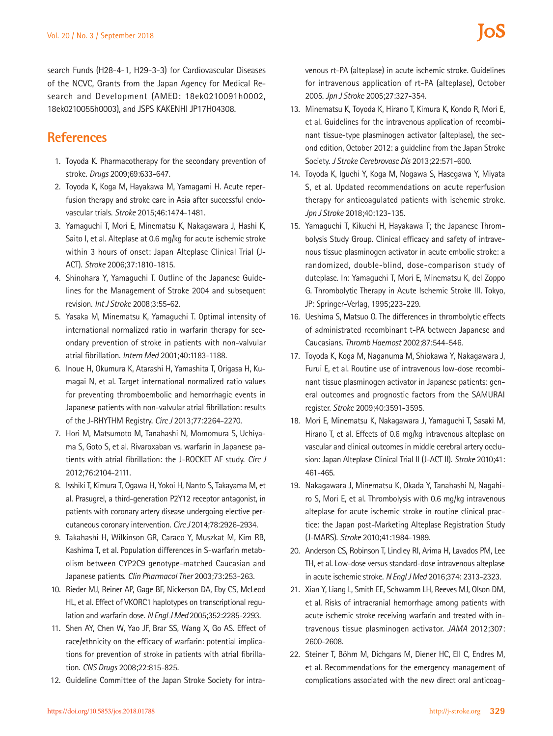search Funds (H28-4-1, H29-3-3) for Cardiovascular Diseases of the NCVC, Grants from the Japan Agency for Medical Research and Development (AMED: 18ek0210091h0002, 18ek0210055h0003), and JSPS KAKENHI JP17H04308.

# **References**

- 1. Toyoda K. Pharmacotherapy for the secondary prevention of stroke. *Drugs* 2009;69:633-647.
- 2. Toyoda K, Koga M, Hayakawa M, Yamagami H. Acute reperfusion therapy and stroke care in Asia after successful endovascular trials. *Stroke* 2015;46:1474-1481.
- 3. Yamaguchi T, Mori E, Minematsu K, Nakagawara J, Hashi K, Saito I, et al. Alteplase at 0.6 mg/kg for acute ischemic stroke within 3 hours of onset: Japan Alteplase Clinical Trial (J-ACT). *Stroke* 2006;37:1810-1815.
- 4. Shinohara Y, Yamaguchi T. Outline of the Japanese Guidelines for the Management of Stroke 2004 and subsequent revision. *Int J Stroke* 2008;3:55-62.
- 5. Yasaka M, Minematsu K, Yamaguchi T. Optimal intensity of international normalized ratio in warfarin therapy for secondary prevention of stroke in patients with non-valvular atrial fibrillation. *Intern Med* 2001;40:1183-1188.
- 6. Inoue H, Okumura K, Atarashi H, Yamashita T, Origasa H, Kumagai N, et al. Target international normalized ratio values for preventing thromboembolic and hemorrhagic events in Japanese patients with non-valvular atrial fibrillation: results of the J-RHYTHM Registry. *Circ J* 2013;77:2264-2270.
- 7. Hori M, Matsumoto M, Tanahashi N, Momomura S, Uchiyama S, Goto S, et al. Rivaroxaban vs. warfarin in Japanese patients with atrial fibrillation: the J-ROCKET AF study. *Circ J*  2012;76:2104-2111.
- 8. Isshiki T, Kimura T, Ogawa H, Yokoi H, Nanto S, Takayama M, et al. Prasugrel, a third-generation P2Y12 receptor antagonist, in patients with coronary artery disease undergoing elective percutaneous coronary intervention. *Circ J* 2014;78:2926-2934.
- 9. Takahashi H, Wilkinson GR, Caraco Y, Muszkat M, Kim RB, Kashima T, et al. Population differences in S-warfarin metabolism between CYP2C9 genotype-matched Caucasian and Japanese patients. *Clin Pharmacol Ther* 2003;73:253-263.
- 10. Rieder MJ, Reiner AP, Gage BF, Nickerson DA, Eby CS, McLeod HL, et al. Effect of VKORC1 haplotypes on transcriptional regulation and warfarin dose. *N Engl J Med* 2005;352:2285-2293.
- 11. Shen AY, Chen W, Yao JF, Brar SS, Wang X, Go AS. Effect of race/ethnicity on the efficacy of warfarin: potential implications for prevention of stroke in patients with atrial fibrillation. *CNS Drugs* 2008;22:815-825.
- 12. Guideline Committee of the Japan Stroke Society for intra-

venous rt-PA (alteplase) in acute ischemic stroke. Guidelines for intravenous application of rt-PA (alteplase), October 2005. *Jpn J Stroke* 2005;27:327-354.

- 13. Minematsu K, Toyoda K, Hirano T, Kimura K, Kondo R, Mori E, et al. Guidelines for the intravenous application of recombinant tissue-type plasminogen activator (alteplase), the second edition, October 2012: a guideline from the Japan Stroke Society. *J Stroke Cerebrovasc Dis* 2013;22:571-600.
- 14. Toyoda K, Iguchi Y, Koga M, Nogawa S, Hasegawa Y, Miyata S, et al. Updated recommendations on acute reperfusion therapy for anticoagulated patients with ischemic stroke. *Jpn J Stroke* 2018;40:123-135.
- 15. Yamaguchi T, Kikuchi H, Hayakawa T; the Japanese Thrombolysis Study Group. Clinical efficacy and safety of intravenous tissue plasminogen activator in acute embolic stroke: a randomized, double-blind, dose-comparison study of duteplase. In: Yamaguchi T, Mori E, Minematsu K, del Zoppo G. Thrombolytic Therapy in Acute Ischemic Stroke III. Tokyo, JP: Springer-Verlag, 1995;223-229.
- 16. Ueshima S, Matsuo O. The differences in thrombolytic effects of administrated recombinant t-PA between Japanese and Caucasians. *Thromb Haemost* 2002;87:544-546.
- 17. Toyoda K, Koga M, Naganuma M, Shiokawa Y, Nakagawara J, Furui E, et al. Routine use of intravenous low-dose recombinant tissue plasminogen activator in Japanese patients: general outcomes and prognostic factors from the SAMURAI register. *Stroke* 2009;40:3591-3595.
- 18. Mori E, Minematsu K, Nakagawara J, Yamaguchi T, Sasaki M, Hirano T, et al. Effects of 0.6 mg/kg intravenous alteplase on vascular and clinical outcomes in middle cerebral artery occlusion: Japan Alteplase Clinical Trial II (J-ACT II). *Stroke* 2010;41: 461-465.
- 19. Nakagawara J, Minematsu K, Okada Y, Tanahashi N, Nagahiro S, Mori E, et al. Thrombolysis with 0.6 mg/kg intravenous alteplase for acute ischemic stroke in routine clinical practice: the Japan post-Marketing Alteplase Registration Study (J-MARS). *Stroke* 2010;41:1984-1989.
- 20. Anderson CS, Robinson T, Lindley RI, Arima H, Lavados PM, Lee TH, et al. Low-dose versus standard-dose intravenous alteplase in acute ischemic stroke. *N Engl J Med* 2016;374: 2313-2323.
- 21. Xian Y, Liang L, Smith EE, Schwamm LH, Reeves MJ, Olson DM, et al. Risks of intracranial hemorrhage among patients with acute ischemic stroke receiving warfarin and treated with intravenous tissue plasminogen activator. *JAMA* 2012;307: 2600-2608.
- 22. Steiner T, Böhm M, Dichgans M, Diener HC, Ell C, Endres M, et al. Recommendations for the emergency management of complications associated with the new direct oral anticoag-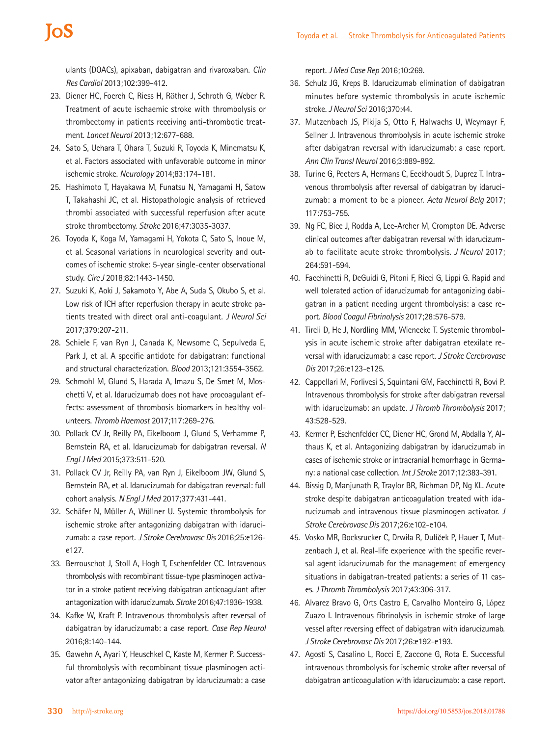# **IOS**

ulants (DOACs), apixaban, dabigatran and rivaroxaban. *Clin Res Cardiol* 2013;102:399-412.

- 23. Diener HC, Foerch C, Riess H, Röther J, Schroth G, Weber R. Treatment of acute ischaemic stroke with thrombolysis or thrombectomy in patients receiving anti-thrombotic treatment. *Lancet Neurol* 2013;12:677-688.
- 24. Sato S, Uehara T, Ohara T, Suzuki R, Toyoda K, Minematsu K, et al. Factors associated with unfavorable outcome in minor ischemic stroke. *Neurology* 2014;83:174-181.
- 25. Hashimoto T, Hayakawa M, Funatsu N, Yamagami H, Satow T, Takahashi JC, et al. Histopathologic analysis of retrieved thrombi associated with successful reperfusion after acute stroke thrombectomy. *Stroke* 2016;47:3035-3037.
- 26. Toyoda K, Koga M, Yamagami H, Yokota C, Sato S, Inoue M, et al. Seasonal variations in neurological severity and outcomes of ischemic stroke: 5-year single-center observational study. *Circ J* 2018;82:1443-1450.
- 27. Suzuki K, Aoki J, Sakamoto Y, Abe A, Suda S, Okubo S, et al. Low risk of ICH after reperfusion therapy in acute stroke patients treated with direct oral anti-coagulant. *J Neurol Sci*  2017;379:207-211.
- 28. Schiele F, van Ryn J, Canada K, Newsome C, Sepulveda E, Park J, et al. A specific antidote for dabigatran: functional and structural characterization. *Blood* 2013;121:3554-3562.
- 29. Schmohl M, Glund S, Harada A, Imazu S, De Smet M, Moschetti V, et al. Idarucizumab does not have procoagulant effects: assessment of thrombosis biomarkers in healthy volunteers. *Thromb Haemost* 2017;117:269-276.
- 30. Pollack CV Jr, Reilly PA, Eikelboom J, Glund S, Verhamme P, Bernstein RA, et al. Idarucizumab for dabigatran reversal. *N Engl J Med* 2015;373:511-520.
- 31. Pollack CV Jr, Reilly PA, van Ryn J, Eikelboom JW, Glund S, Bernstein RA, et al. Idarucizumab for dabigatran reversal: full cohort analysis. *N Engl J Med* 2017;377:431-441.
- 32. Schäfer N, Müller A, Wüllner U. Systemic thrombolysis for ischemic stroke after antagonizing dabigatran with idarucizumab: a case report. *J Stroke Cerebrovasc Dis* 2016;25:e126 e127.
- 33. Berrouschot J, Stoll A, Hogh T, Eschenfelder CC. Intravenous thrombolysis with recombinant tissue-type plasminogen activator in a stroke patient receiving dabigatran anticoagulant after antagonization with idarucizumab. *Stroke* 2016;47:1936-1938.
- 34. Kafke W, Kraft P. Intravenous thrombolysis after reversal of dabigatran by idarucizumab: a case report. *Case Rep Neurol*  2016;8:140-144.
- 35. Gawehn A, Ayari Y, Heuschkel C, Kaste M, Kermer P. Successful thrombolysis with recombinant tissue plasminogen activator after antagonizing dabigatran by idarucizumab: a case

report. *J Med Case Rep* 2016;10:269.

- 36. Schulz JG, Kreps B. Idarucizumab elimination of dabigatran minutes before systemic thrombolysis in acute ischemic stroke. *J Neurol Sci* 2016;370:44.
- 37. Mutzenbach JS, Pikija S, Otto F, Halwachs U, Weymayr F, Sellner J. Intravenous thrombolysis in acute ischemic stroke after dabigatran reversal with idarucizumab: a case report. *Ann Clin Transl Neurol* 2016;3:889-892.
- 38. Turine G, Peeters A, Hermans C, Eeckhoudt S, Duprez T. Intravenous thrombolysis after reversal of dabigatran by idarucizumab: a moment to be a pioneer. *Acta Neurol Belg* 2017; 117:753-755.
- 39. Ng FC, Bice J, Rodda A, Lee-Archer M, Crompton DE. Adverse clinical outcomes after dabigatran reversal with idarucizumab to facilitate acute stroke thrombolysis. *J Neurol* 2017; 264:591-594.
- 40. Facchinetti R, DeGuidi G, Pitoni F, Ricci G, Lippi G. Rapid and well tolerated action of idarucizumab for antagonizing dabigatran in a patient needing urgent thrombolysis: a case report. *Blood Coagul Fibrinolysis* 2017;28:576-579.
- 41. Tireli D, He J, Nordling MM, Wienecke T. Systemic thrombolysis in acute ischemic stroke after dabigatran etexilate reversal with idarucizumab: a case report. *J Stroke Cerebrovasc Dis* 2017;26:e123-e125.
- 42. Cappellari M, Forlivesi S, Squintani GM, Facchinetti R, Bovi P. Intravenous thrombolysis for stroke after dabigatran reversal with idarucizumab: an update. *J Thromb Thrombolysis* 2017; 43:528-529.
- 43. Kermer P, Eschenfelder CC, Diener HC, Grond M, Abdalla Y, Althaus K, et al. Antagonizing dabigatran by idarucizumab in cases of ischemic stroke or intracranial hemorrhage in Germany: a national case collection. *Int J Stroke* 2017;12:383-391.
- 44. Bissig D, Manjunath R, Traylor BR, Richman DP, Ng KL. Acute stroke despite dabigatran anticoagulation treated with idarucizumab and intravenous tissue plasminogen activator. *J Stroke Cerebrovasc Dis* 2017;26:e102-e104.
- 45. Vosko MR, Bocksrucker C, Drwiła R, Dulíček P, Hauer T, Mutzenbach J, et al. Real-life experience with the specific reversal agent idarucizumab for the management of emergency situations in dabigatran-treated patients: a series of 11 cases. *J Thromb Thrombolysis* 2017;43:306-317.
- 46. Alvarez Bravo G, Orts Castro E, Carvalho Monteiro G, López Zuazo I. Intravenous fibrinolysis in ischemic stroke of large vessel after reversing effect of dabigatran with idarucizumab. *J Stroke Cerebrovasc Dis* 2017;26:e192-e193.
- 47. Agosti S, Casalino L, Rocci E, Zaccone G, Rota E. Successful intravenous thrombolysis for ischemic stroke after reversal of dabigatran anticoagulation with idarucizumab: a case report.